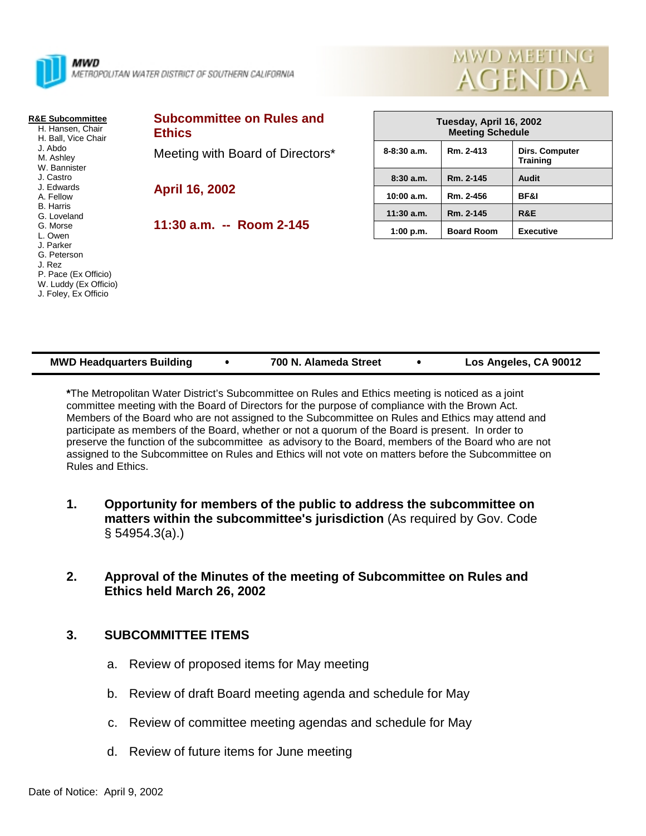

#### **R&E Subcommittee**

 H. Hansen, Chair H. Ball, Vice Chair J. Abdo M. Ashley W. Bannister J. Castro J. Edwards A. Fellow B. Harris G. Loveland G. Morse L. Owen J. Parker G. Peterson J. Rez P. Pace (Ex Officio)

 W. Luddy (Ex Officio) J. Foley, Ex Officio

# **Subcommittee on Rules and Ethics** Meeting with Board of Directors\* **April 16, 2002**

**11:30 a.m. -- Room 2-145**

| Tuesday, April 16, 2002<br><b>Meeting Schedule</b> |                   |                                   |  |  |  |
|----------------------------------------------------|-------------------|-----------------------------------|--|--|--|
| $8 - 8:30$ a.m.                                    | Rm. 2-413         | Dirs. Computer<br><b>Training</b> |  |  |  |
| 8:30a.m.                                           | Rm. 2-145         | Audit                             |  |  |  |
| 10:00 a.m.                                         | Rm. 2-456         | <b>BF&amp;I</b>                   |  |  |  |
| $11:30$ a.m.                                       | Rm. 2-145         | R&E                               |  |  |  |
| 1:00 p.m.                                          | <b>Board Room</b> | <b>Executive</b>                  |  |  |  |

MWD MEETING

**AGEND** 

| <b>MWD Headquarters Building</b> | 700 N. Alameda Street | Los Angeles, CA 90012 |
|----------------------------------|-----------------------|-----------------------|

**\***The Metropolitan Water District's Subcommittee on Rules and Ethics meeting is noticed as a joint committee meeting with the Board of Directors for the purpose of compliance with the Brown Act. Members of the Board who are not assigned to the Subcommittee on Rules and Ethics may attend and participate as members of the Board, whether or not a quorum of the Board is present. In order to preserve the function of the subcommittee as advisory to the Board, members of the Board who are not assigned to the Subcommittee on Rules and Ethics will not vote on matters before the Subcommittee on Rules and Ethics.

- **1. Opportunity for members of the public to address the subcommittee on matters within the subcommittee's jurisdiction** (As required by Gov. Code § 54954.3(a).)
- **2. Approval of the Minutes of the meeting of Subcommittee on Rules and Ethics held March 26, 2002**

### **3. SUBCOMMITTEE ITEMS**

- a. Review of proposed items for May meeting
- b. Review of draft Board meeting agenda and schedule for May
- c. Review of committee meeting agendas and schedule for May
- d. Review of future items for June meeting